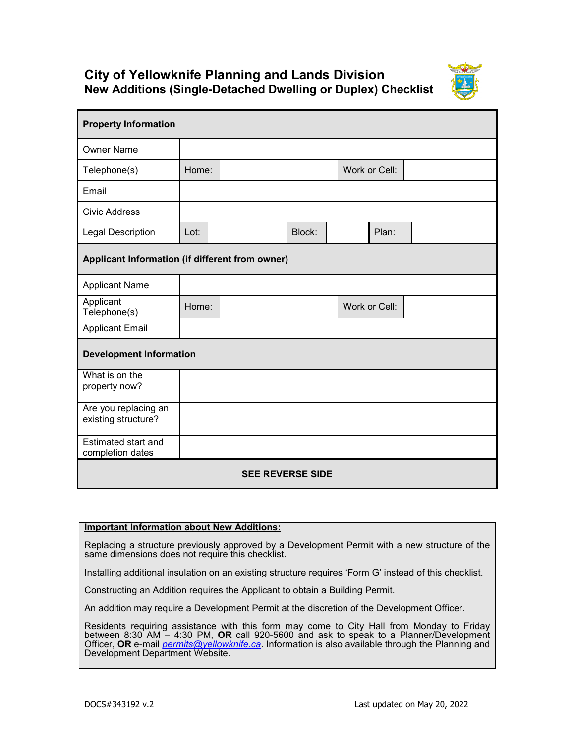## **City of Yellowknife Planning and Lands Division New Additions (Single-Detached Dwelling or Duplex) Checklist**



| <b>Property Information</b>                     |       |  |        |  |               |  |  |
|-------------------------------------------------|-------|--|--------|--|---------------|--|--|
| <b>Owner Name</b>                               |       |  |        |  |               |  |  |
| Telephone(s)                                    | Home: |  |        |  | Work or Cell: |  |  |
| Email                                           |       |  |        |  |               |  |  |
| <b>Civic Address</b>                            |       |  |        |  |               |  |  |
| <b>Legal Description</b>                        | Lot:  |  | Block: |  | Plan:         |  |  |
| Applicant Information (if different from owner) |       |  |        |  |               |  |  |
| <b>Applicant Name</b>                           |       |  |        |  |               |  |  |
| Applicant<br>Telephone(s)                       | Home: |  |        |  | Work or Cell: |  |  |
| <b>Applicant Email</b>                          |       |  |        |  |               |  |  |
| <b>Development Information</b>                  |       |  |        |  |               |  |  |
| What is on the<br>property now?                 |       |  |        |  |               |  |  |
| Are you replacing an<br>existing structure?     |       |  |        |  |               |  |  |
| Estimated start and<br>completion dates         |       |  |        |  |               |  |  |
| <b>SEE REVERSE SIDE</b>                         |       |  |        |  |               |  |  |

## **Important Information about New Additions:**

Replacing a structure previously approved by a Development Permit with a new structure of the same dimensions does not require this checklist.

Installing additional insulation on an existing structure requires 'Form G' instead of this checklist.

Constructing an Addition requires the Applicant to obtain a Building Permit.

An addition may require a Development Permit at the discretion of the Development Officer.

Residents requiring assistance with this form may come to City Hall from Monday to Friday between 8:30 AM – 4:30 PM, **OR** call 920-5600 and ask to speak to a Planner/Development Officer, **OR** e-mail *[permits@yellowknife.ca](mailto:permits@yellowknife.ca)*. Information is also available through the Planning and Development Department Website.